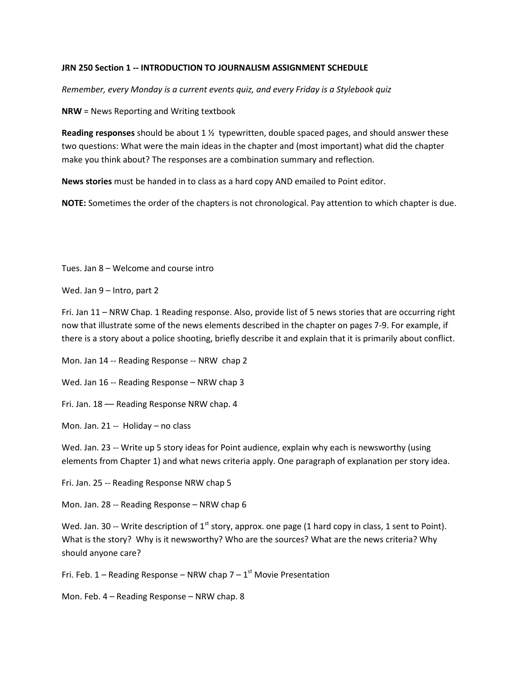## **JRN 250 Section 1 -- INTRODUCTION TO JOURNALISM ASSIGNMENT SCHEDULE**

*Remember, every Monday is a current events quiz, and every Friday is a Stylebook quiz*

**NRW** = News Reporting and Writing textbook

**Reading responses** should be about 1 ½ typewritten, double spaced pages, and should answer these two questions: What were the main ideas in the chapter and (most important) what did the chapter make you think about? The responses are a combination summary and reflection.

**News stories** must be handed in to class as a hard copy AND emailed to Point editor.

**NOTE:** Sometimes the order of the chapters is not chronological. Pay attention to which chapter is due.

Tues. Jan 8 – Welcome and course intro

Wed. Jan 9 – Intro, part 2

Fri. Jan 11 – NRW Chap. 1 Reading response. Also, provide list of 5 news stories that are occurring right now that illustrate some of the news elements described in the chapter on pages 7-9. For example, if there is a story about a police shooting, briefly describe it and explain that it is primarily about conflict.

Mon. Jan 14 -- Reading Response -- NRW chap 2

Wed. Jan 16 -- Reading Response – NRW chap 3

Fri. Jan. 18 –– Reading Response NRW chap. 4

Mon. Jan. 21 -- Holiday – no class

Wed. Jan. 23 -- Write up 5 story ideas for Point audience, explain why each is newsworthy (using elements from Chapter 1) and what news criteria apply. One paragraph of explanation per story idea.

Fri. Jan. 25 -- Reading Response NRW chap 5

Mon. Jan. 28 -- Reading Response – NRW chap 6

Wed. Jan. 30 -- Write description of  $1<sup>st</sup>$  story, approx. one page (1 hard copy in class, 1 sent to Point). What is the story? Why is it newsworthy? Who are the sources? What are the news criteria? Why should anyone care?

Fri. Feb. 1 – Reading Response – NRW chap  $7 - 1$ <sup>st</sup> Movie Presentation

Mon. Feb. 4 – Reading Response – NRW chap. 8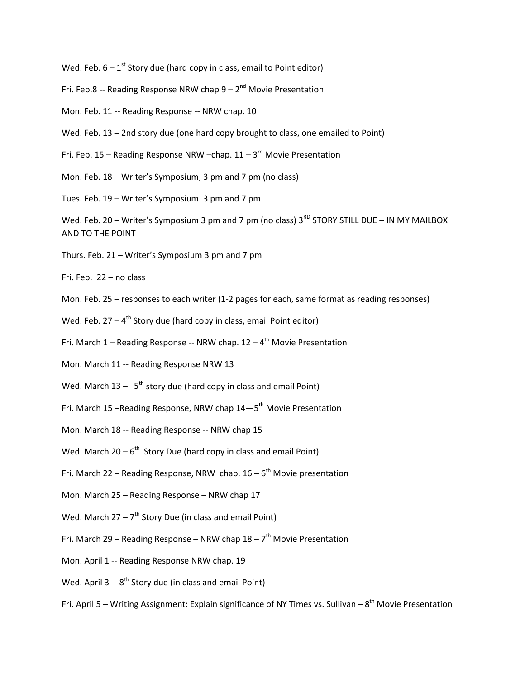Wed. Feb.  $6 - 1$ <sup>st</sup> Story due (hard copy in class, email to Point editor)

- Fri. Feb.8 -- Reading Response NRW chap  $9 2^{nd}$  Movie Presentation
- Mon. Feb. 11 -- Reading Response -- NRW chap. 10
- Wed. Feb. 13 2nd story due (one hard copy brought to class, one emailed to Point)
- Fri. Feb. 15 Reading Response NRW –chap.  $11 3^{rd}$  Movie Presentation
- Mon. Feb. 18 Writer's Symposium, 3 pm and 7 pm (no class)
- Tues. Feb. 19 Writer's Symposium. 3 pm and 7 pm
- Wed. Feb. 20 Writer's Symposium 3 pm and 7 pm (no class)  $3^{RD}$  STORY STILL DUE IN MY MAILBOX AND TO THE POINT
- Thurs. Feb. 21 Writer's Symposium 3 pm and 7 pm

Fri. Feb. 22 – no class

- Mon. Feb. 25 responses to each writer (1-2 pages for each, same format as reading responses)
- Wed. Feb.  $27 4$ <sup>th</sup> Story due (hard copy in class, email Point editor)
- Fri. March  $1$  Reading Response -- NRW chap.  $12 4$ <sup>th</sup> Movie Presentation
- Mon. March 11 -- Reading Response NRW 13
- Wed. March  $13 5$ <sup>th</sup> story due (hard copy in class and email Point)
- Fri. March 15 –Reading Response, NRW chap  $14-5<sup>th</sup>$  Movie Presentation
- Mon. March 18 -- Reading Response -- NRW chap 15
- Wed. March  $20 6^{th}$  Story Due (hard copy in class and email Point)
- Fri. March 22 Reading Response, NRW chap.  $16 6<sup>th</sup>$  Movie presentation
- Mon. March 25 Reading Response NRW chap 17
- Wed. March  $27 7^{th}$  Story Due (in class and email Point)
- Fri. March 29 Reading Response NRW chap  $18 7<sup>th</sup>$  Movie Presentation
- Mon. April 1 -- Reading Response NRW chap. 19
- Wed. April 3 --  $8<sup>th</sup>$  Story due (in class and email Point)
- Fri. April 5 Writing Assignment: Explain significance of NY Times vs. Sullivan  $8^{th}$  Movie Presentation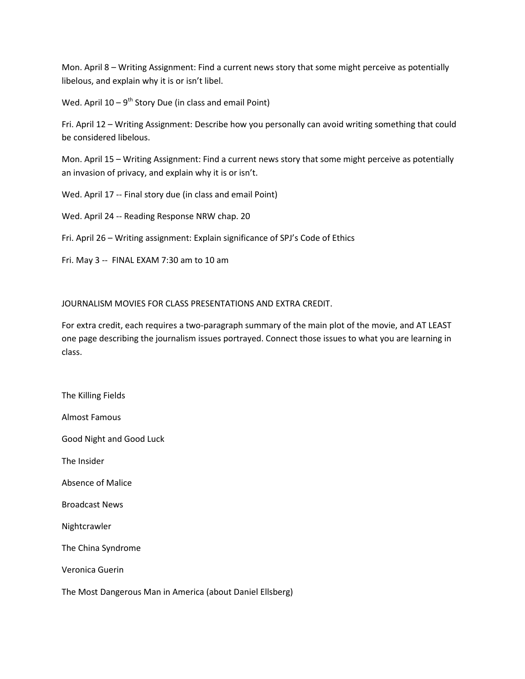Mon. April 8 – Writing Assignment: Find a current news story that some might perceive as potentially libelous, and explain why it is or isn't libel.

Wed. April  $10 - 9$ <sup>th</sup> Story Due (in class and email Point)

Fri. April 12 – Writing Assignment: Describe how you personally can avoid writing something that could be considered libelous.

Mon. April 15 – Writing Assignment: Find a current news story that some might perceive as potentially an invasion of privacy, and explain why it is or isn't.

Wed. April 17 -- Final story due (in class and email Point)

Wed. April 24 -- Reading Response NRW chap. 20

Fri. April 26 – Writing assignment: Explain significance of SPJ's Code of Ethics

Fri. May 3 -- FINAL EXAM 7:30 am to 10 am

## JOURNALISM MOVIES FOR CLASS PRESENTATIONS AND EXTRA CREDIT.

For extra credit, each requires a two-paragraph summary of the main plot of the movie, and AT LEAST one page describing the journalism issues portrayed. Connect those issues to what you are learning in class.

The Killing Fields Almost Famous Good Night and Good Luck The Insider Absence of Malice Broadcast News Nightcrawler The China Syndrome Veronica Guerin The Most Dangerous Man in America (about Daniel Ellsberg)